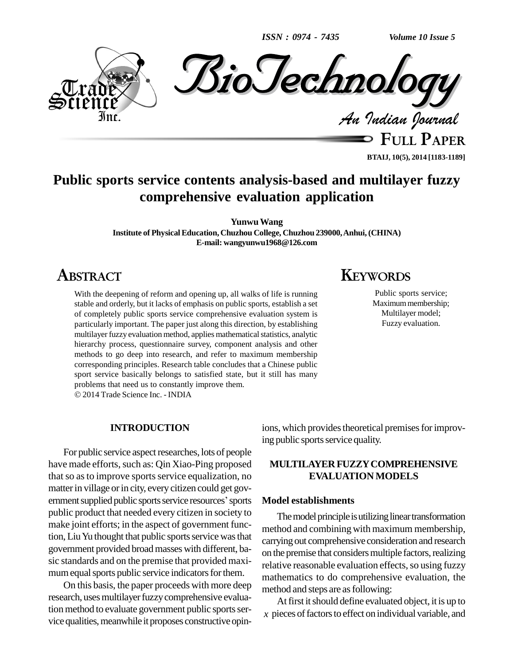*ISSN : 0974 - 7435*

*Volume 10 Issue 5*



**FULL PAPER BTAIJ, 10(5), 2014 [1183-1189]**

## **Public sports service contents analysis-based and multilayer fuzzy comprehensive evaluation application**

**YunwuWang**

**Institute of PhysicalEducation, Chuzhou College, Chuzhou 239000,Anhui,(CHINA) E-mail: [wangyunwu1968@126.com](mailto:wangyunwu1968@126.com)**

## **ABSTRACT**

With the deepening of reform and opening up, all walks of life is running stable and orderly, but it lacks of emphasis on public sports, establish a set of completely public sports service comprehensive evaluation system is particularly important. The paper just along this direction, by establishing multilayer fuzzy evaluation method, applies mathematical statistics, analytic hierarchy process, questionnaire survey, component analysis and other methods to go deep into research, and refer to maximum membership corresponding principles. Research table concludes that a Chinese public sport service basically belongs to satisfied state, but it still has many problems that need us to constantly improve them.

2014 Trade Science Inc. - INDIA

#### **INTRODUCTION**

For public service aspect researches, lots of people have made efforts, such as: Qin Xiao-Ping proposed that so as to improve sports service equalization, no<br>matter in village or in city, every citizen could get gov-<br>ernment supplied public sports service resources' sports **Model** matter in village or in city, every citizen could get govpublic product that needed every citizen in society to make joint efforts; in the aspect of government function, Liu Yu thought that public sports service was that government provided broadmasses with different, ba sic standards and on the premise that provided maxi mum equal sports public service indicators for them.

On this basis, the paper proceeds with more deep research, uses multilayer fuzzy comprehensive evaluation method to evaluate government public sports service qualities, meanwhile it proposes constructive opin-

## **KEYWORDS**

Public sports service; Maximum membership; Multilayer model; Fuzzy evaluation.

ions, which provides theoretical premises for improving public sports service quality.

### **MULTILAYERFUZZYCOMPREHENSIVE EVALUATION MODELS**

#### **Model establishments**

The model principle is utilizing linear transformation method and combining with maximum membership, carrying out comprehensive consideration and research on the premise that considers multiple factors, realizing relative reasonable evaluation effects, so using fuzzy mathematics to do comprehensive evaluation, the method and steps are as following:

At first it should define evaluated object, it is up to  $\chi$  pieces of factors to effect on individual variable, and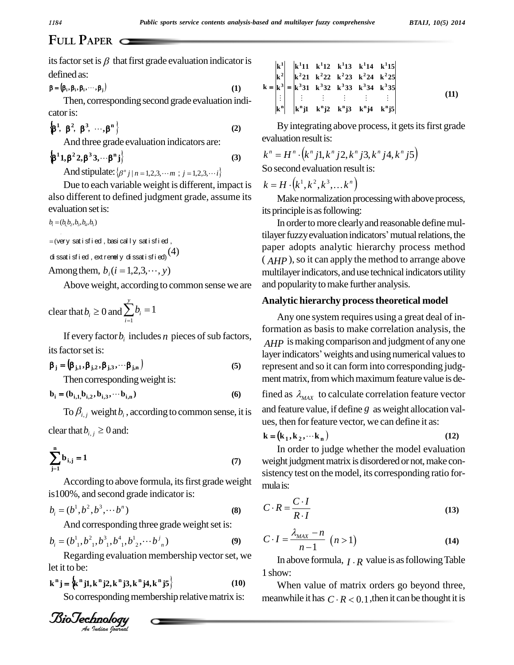its factor set is  $\beta$  that first grade evaluation indicator is defined as: **<sup>i</sup> <sup>i</sup> <sup>i</sup> <sup>j</sup> , , ,, (1)**

$$
\beta = (\beta_i, \beta_i, \beta_i, \cdots, \beta_j) \tag{1}
$$

Then, corresponding second grade evaluation indi cator is: **1 2 2 1 1 2 1 2 1 2 1 2 1 2 1 2 1 3 1 2 1 8 1 8 2 8 3 1 0 1 8 1 8 1 8 1 8 1 8 1 8 1 8 1 8 1 8 1 8 1 8 1 8 1 8** or is:<br>  $\beta^2$ ,  $\beta^3$ , ..., $\beta^n$  (2)

$$
\left\{\beta^1, \ \beta^2, \ \beta^3, \ \cdots, \beta^n\right\} \tag{2}
$$

And three grade evaluation indicators are:  
\n
$$
\{\beta^1 1, \beta^2 2, \beta^3 3, \cdots \beta^n j\}
$$
 (3)  $k^n$   
\nAnd stipulate:  $\{\beta^n j \mid n = 1, 2, 3, \cdots m ; j = 1, 2, 3, \cdots i\}$  So

Due to each variable weight is different, impact is also different to defined judgment grade, assume its evaluation set is:<br> $b_i = (b_1b_2, b_3, b_4, b_5)$ 

 $b_i = (b_1, b_2, b_3, b_4, b_5)$ 

$$
= (very sati sfi ed, basically sati sfi ed)
$$
\n
$$
= (very sati sfi ed, basically sati sfi ed)
$$
\n
$$
= (very sati sfi ed, basial sfi ed)
$$

( ,di ssat isf ied,ext remel <sup>y</sup> di ssat isf ied)(4) Amongthem, *b* (*i* 1,2,3, , *y*) *<sup>i</sup>*

Above weight, according to common sense we are and po<br>
r that  $b_i \ge 0$  and  $\sum_{i=1}^{y} b_i = 1$  A Among them,  $b_i$  ( $i = 1, 2, 3$ )<br>Above weight, accord<br>clear that  $b_i \ge 0$  and  $\sum_{i=1}^{3} b_i$ *y i*  $b_i = 1$ 1 1

If every factor  $b_i$  includes  $n$  pieces of sub factors, its factor set is: its factor set is:<br>  $\beta_j = (\beta_{j,1}, \beta_{j,2}, \beta_{j,3}, \cdots \beta_{j,n})$  (5)

$$
\beta_{j} = (\beta_{j,1}, \beta_{j,2}, \beta_{j,3}, \cdots \beta_{j,n})
$$
\nThen corresponding weight is:\n
$$
\mathbf{b}_{i} = (\mathbf{b}_{i,1}, \mathbf{b}_{i,2}, \mathbf{b}_{i,3}, \cdots \mathbf{b}_{i,n})
$$
\n(6)

$$
\mathbf{b}_{i} = (\mathbf{b}_{i,1}, \mathbf{b}_{i,2}, \mathbf{b}_{i,3}, \cdots, \mathbf{b}_{i,n})
$$
 (6)

To  $\beta_{i,j}$  weight  $b_i$ , according to common sense, it is and f<br>clear that  $b_{i,j} \ge 0$  and:<br> $\mathbf{k} - ($ 

clear that  $b_{i,j} \geq 0$  and:

$$
\sum_{j=1}^{n} b_{i,j} = 1
$$
 (7)

According to above formula, its first grade weight is 100%, and second grade indicator is: According to above formula, its first grade weight<br>is 100%, and second grade indicator is:<br> $b_i = (b^1, b^2, b^3, \dotsb b^n)$  (8)

$$
b_i = (b^1, b^2, b^3, \cdots b^n)
$$
 (8)

And corresponding three grade weight set is:

And corresponding three grade weight set is:  
\n
$$
b_i = (b_{1}^1, b_{1}^2, b_{1}^3, b_{1}^4, b_{2}^1, \cdots, b_{n}^j)
$$
\n(9)

Regarding evaluation membership vector set, we let it to be: **<sup>k</sup> <sup>j</sup> <sup>k</sup> j1,k j2,k j3,k j4,k j5 <sup>n</sup> <sup>n</sup> <sup>n</sup> <sup>n</sup> <sup>n</sup> <sup>n</sup> (10)**

Regarding evaluation memory of the time, we get

\n
$$
\mathbf{k}^{n} \mathbf{j} = \left\{ \mathbf{k}^{n} \mathbf{j} \mathbf{l}, \mathbf{k}^{n} \mathbf{j} \mathbf{2}, \mathbf{k}^{n} \mathbf{j} \mathbf{3}, \mathbf{k}^{n} \mathbf{j} \mathbf{4}, \mathbf{k}^{n} \mathbf{j} \mathbf{5} \right\}
$$
\n(10)

\nSo corresponding membership relative matrix is:

\n**Biodephology**

\n**4.** *Total Journal*

So corresponding membership relative matrix is:

$$
k = \begin{vmatrix} k^{1} \\ k^{2} \\ k^{3} \\ \vdots \\ k^{n} \end{vmatrix} = \begin{vmatrix} k^{1}11 & k^{1}12 & k^{1}13 & k^{1}14 & k^{1}15 \\ k^{2}21 & k^{2}22 & k^{2}23 & k^{2}24 & k^{2}25 \\ k^{3}31 & k^{3}32 & k^{3}33 & k^{3}34 & k^{3}35 \\ \vdots & \vdots & \vdots & \vdots & \vdots \\ k^{n}1 & k^{n}12 & k^{n}13 & k^{n}14 & k^{n}15 \end{vmatrix}
$$
 (11)

By integrating above process, it gets its first grade<br>evaluation result is:<br> $k^n = H^n \cdot (k^n j1, k^n j2, k^n j3, k^n j4, k^n j5)$ evaluation result is: tegratı<br>1 result<br>• (k" *i* 1

$$
k^{n} = H^{n} \cdot (k^{n} j1, k^{n} j2, k^{n} j3, k^{n} j4, k^{n} j5)
$$
  
So second evaluation result is:  

$$
k = H \cdot (k^{1}, k^{2}, k^{3}, \dots k^{n})
$$

Make normalization processing with above process, its principle is as following:

( $b_1b_2,b_3,b_4,b_5$ )<br>  $(b_1b_2,b_3,b_4,b_5)$ <br>
tilayer fuzzy evaluation indicators' mutual relations, the In order to more clearly and reasonable define mulpaper adopts analytic hierarchy process method  $(AHP)$ , so it can apply the method to arrange above multilayer indicators, and use technical indicators utility and popularity to make further analysis.

#### **Analytic hierarchy processtheoretical model**

Any one system requires using a great deal of information as basis to make correlation analysis, the *AHP* is making comparison and judgment of any one layer indicators' weights and using numerical values to represent and so it can form into corresponding judg ment matrix, from which maximum feature value is de-

fined as  $\lambda_{MAX}$  to calculate correlation feature vector and feature value, if define *g* as weight allocation val ues, then for feature vector, we can define it as:<br>  $\mathbf{k} = (\mathbf{k}_1, \mathbf{k}_2, \dots, \mathbf{k}_n)$  (12)

$$
\mathbf{k} = (\mathbf{k}_1, \mathbf{k}_2, \cdots \mathbf{k}_n) \tag{12}
$$

In order to judge whether the model evaluation weight judgment matrix is disordered or not, make consistency test on the model, its corresponding ratio for mulais:

mulais:  
\n
$$
C \cdot R = \frac{C \cdot I}{R \cdot I}
$$
\n(13)

$$
C \cdot I = \frac{\lambda_{MAX} - n}{n - 1} \quad (n > 1)
$$
 (13)

In above formula,  $I \cdot R$  value is as following Table 1 show:

When value of matrix orders go beyond three, meanwhile it has  $C \cdot R < 0.1$ , then it can be thought it is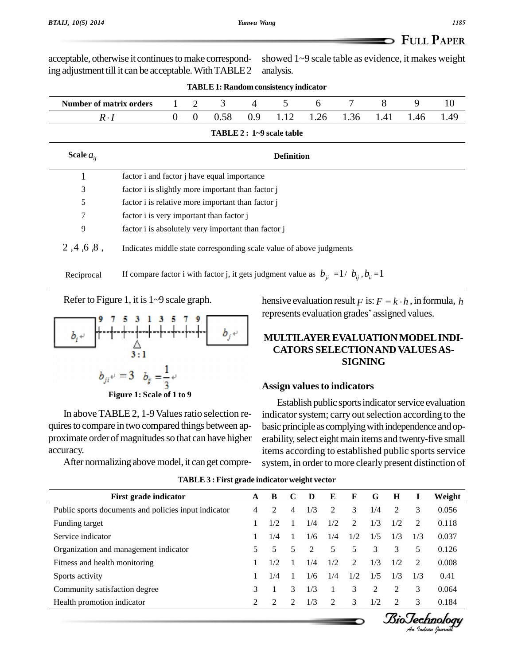**FULL PAPER** showed 1~9 scale table as evidence, it makes weight

|                                |                                                                                                 |          |                | TADLE 1. Kangom consistency murcator |     |                           |      |      |      |      |      |
|--------------------------------|-------------------------------------------------------------------------------------------------|----------|----------------|--------------------------------------|-----|---------------------------|------|------|------|------|------|
| <b>Number of matrix orders</b> |                                                                                                 |          | $\overline{2}$ | 3                                    | 4   | 5                         | 6    |      | 8    | 9    | 10   |
| $R \cdot I$                    |                                                                                                 | $\theta$ | $\mathbf{0}$   | 0.58                                 | 0.9 | 1.12                      | 1.26 | 1.36 | 1.41 | 1.46 | 1.49 |
|                                |                                                                                                 |          |                |                                      |     | TABLE 2 : 1~9 scale table |      |      |      |      |      |
| Scale $a_{ii}$                 |                                                                                                 |          |                |                                      |     | <b>Definition</b>         |      |      |      |      |      |
|                                | factor i and factor j have equal importance                                                     |          |                |                                      |     |                           |      |      |      |      |      |
| 3                              | factor i is slightly more important than factor j                                               |          |                |                                      |     |                           |      |      |      |      |      |
| 5                              | factor i is relative more important than factor j                                               |          |                |                                      |     |                           |      |      |      |      |      |
| 7                              | factor i is very important than factor j                                                        |          |                |                                      |     |                           |      |      |      |      |      |
| 9                              | factor i is absolutely very important than factor j                                             |          |                |                                      |     |                           |      |      |      |      |      |
| 2, 4, 6, 8,                    | Indicates middle state corresponding scale value of above judgments                             |          |                |                                      |     |                           |      |      |      |      |      |
| Reciprocal                     | If compare factor i with factor j, it gets judgment value as $b_{ii} = 1/b_{ii}$ , $b_{ii} = 1$ |          |                |                                      |     |                           |      |      |      |      |      |

**TABLE1: Randomconsistency indicator**

analysis.

Refer to Figure 1, it is 1~9 scale graph.

acceptable, otherwise it continues to make corresponding adjustment till it can be acceptable. With TABLE 2



In above TABLE 2, 1-9 Values ratio selection requires to compare in two compared things between approximate order of magnitudes so that can have higher accuracy.

After normalizing above model, it can get compre-

dgment value as  $b_{ji} = 1/b_{ij}, b_{ii} = 1$ <br>hensive evaluation result *F* is:  $F = k \cdot h$ , in formula, *h* hensive evaluation result  $F$  is:  $F = k \cdot h$ , in formula<br>represents evaluation grades' assigned values.

### **MULTILAYER EVALUATION MODELINDI- CATORS SELECTIONAND VALUESAS- SIGNING**

#### **Assign valuesto indicators**

Establish public sports indicator service evaluation indicator system; carry out selection according to the basic principle as complying with independence and operability, select eight main items and twenty-five small items according to established public sports service system, in order to more clearly present distinction of

| First grade indicator                                | A | B             | C | D   | E   | F   | G              | Н   |     | Weight |
|------------------------------------------------------|---|---------------|---|-----|-----|-----|----------------|-----|-----|--------|
| Public sports documents and policies input indicator | 4 | 2             | 4 | 1/3 | 2   | 3   | 1/4            | 2   |     | 0.056  |
| Funding target                                       |   | 1/2           |   | 1/4 | 1/2 | 2   | 1/3            | 1/2 |     | 0.118  |
| Service indicator                                    |   | 1/4           |   | 1/6 | 1/4 | 1/2 | 1/5            | 1/3 | 1/3 | 0.037  |
| Organization and management indicator                |   | 5             | 5 | 2   | 5   | 5   | 3              | 3   | 5   | 0.126  |
| Fitness and health monitoring                        |   | 1/2           |   | 1/4 | 1/2 | 2   | 1/3            | 1/2 |     | 0.008  |
| Sports activity                                      |   | 1/4           |   | 1/6 | 1/4 | 1/2 | 1/5            | 1/3 | 1/3 | 0.41   |
| Community satisfaction degree                        | 3 |               | 3 | 1/3 |     | 3   | $\overline{c}$ | 2   | 3   | 0.064  |
| Health promotion indicator                           | ↑ | $\mathcal{L}$ | ↑ | 1/3 | 2   | 3   | 1/2            | ↑   |     | 0.184  |

#### **TABLE3 : First grade indicator weight vector**

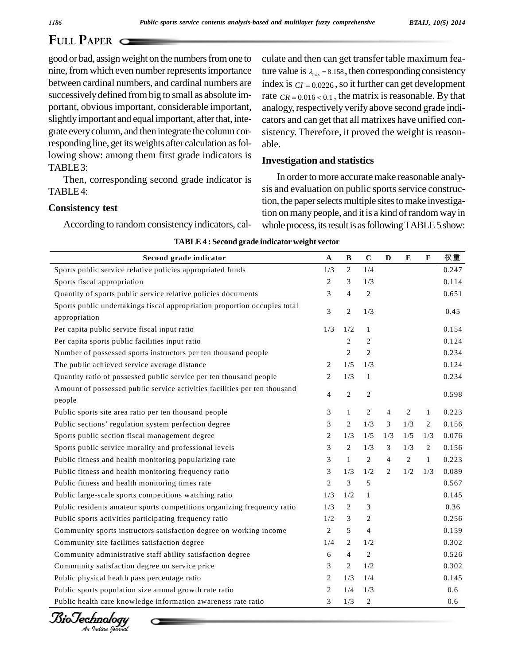good or bad, assignweight on the numbersfromone to nine, from which even number represents importance between cardinal numbers, and cardinal numbers are successively defined from big to small as absolute im- rate  $CR = 0.016 < 0.1$ , the matrix is reasonable. By that portant, obvious important, considerable important, slightly important and equal important, after that, integrate everycolumn, and then integrate the column corresponding line, get its weights after calculation as following show: among them first grade indicators is TABLE3:

Then, corresponding second grade indicator is TABLE4:

#### **Consistency test**

According to random consistency indicators, cal-

culate and then can get transfer table maximum feaculate and then can get transfer table maximum fea-<br>ture value is  $\lambda_{\text{max}} = 8.158$ , then corresponding consistency ture value is  $\lambda_{\text{max}} = 8.158$ , then corresponding consistency index is  $CI = 0.0226$ , so it further can get development index is  $CI = 0.0226$ , so it further can get development analogy, respectively verify above second grade indicators and can get that all matrixes have unified con sistency. Therefore, it proved the weight is reason able.

#### **Investigation and statistics**

In order to more accurate make reasonable analysis and evaluation on public sports service construction, the paper selects multiple sites to make investigation on many people, and it is a kind of random way in whole process, its result is as following TABLE 5 show:

| TABLE 4 : Second grade indicator weight vector                            |                |                |                |                |                |                |       |
|---------------------------------------------------------------------------|----------------|----------------|----------------|----------------|----------------|----------------|-------|
| Second grade indicator                                                    | $\mathbf{A}$   | $\, {\bf B}$   | $\mathbf C$    | $\mathbf{D}$   | ${\bf E}$      | $\mathbf F$    | 权重    |
| Sports public service relative policies appropriated funds                | 1/3            | $\overline{c}$ | 1/4            |                |                |                | 0.247 |
| Sports fiscal appropriation                                               | $\overline{c}$ | 3              | 1/3            |                |                |                | 0.114 |
| Quantity of sports public service relative policies documents             | 3              | $\overline{4}$ | $\overline{c}$ |                |                |                | 0.651 |
| Sports public undertakings fiscal appropriation proportion occupies total | 3              | $\overline{c}$ | 1/3            |                |                |                | 0.45  |
| appropriation                                                             |                | 1/2            |                |                |                |                |       |
| Per capita public service fiscal input ratio                              | 1/3            |                | $\mathbf{1}$   |                |                |                | 0.154 |
| Per capita sports public facilities input ratio                           |                | $\overline{c}$ | $\overline{c}$ |                |                |                | 0.124 |
| Number of possessed sports instructors per ten thousand people            |                | $\overline{c}$ | $\overline{c}$ |                |                |                | 0.234 |
| The public achieved service average distance                              | 2              | 1/5            | 1/3            |                |                |                | 0.124 |
| Quantity ratio of possessed public service per ten thousand people        | $\overline{c}$ | 1/3            | $\mathbf{1}$   |                |                |                | 0.234 |
| Amount of possessed public service activities facilities per ten thousand | $\overline{4}$ | $\overline{c}$ | $\overline{c}$ |                |                |                | 0.598 |
| people                                                                    |                |                |                |                |                |                |       |
| Public sports site area ratio per ten thousand people                     | 3              | $\mathbf{1}$   | $\overline{c}$ | $\overline{4}$ | $\overline{c}$ | $\mathbf{1}$   | 0.223 |
| Public sections' regulation system perfection degree                      | 3              | $\overline{c}$ | 1/3            | 3              | 1/3            | $\overline{c}$ | 0.156 |
| Sports public section fiscal management degree                            | $\overline{c}$ | 1/3            | 1/5            | 1/3            | 1/5            | 1/3            | 0.076 |
| Sports public service morality and professional levels                    | 3              | $\overline{c}$ | 1/3            | 3              | 1/3            | $\overline{c}$ | 0.156 |
| Public fitness and health monitoring popularizing rate                    | 3              | $\mathbf{1}$   | $\overline{2}$ | $\overline{4}$ | 2              | $\mathbf{1}$   | 0.223 |
| Public fitness and health monitoring frequency ratio                      | 3              | 1/3            | 1/2            | $\overline{2}$ | 1/2            | 1/3            | 0.089 |
| Public fitness and health monitoring times rate                           | $\overline{c}$ | 3              | 5              |                |                |                | 0.567 |
| Public large-scale sports competitions watching ratio                     | 1/3            | 1/2            | $\mathbf{1}$   |                |                |                | 0.145 |
| Public residents amateur sports competitions organizing frequency ratio   | 1/3            | $\overline{c}$ | 3              |                |                |                | 0.36  |
| Public sports activities participating frequency ratio                    | 1/2            | 3              | $\overline{c}$ |                |                |                | 0.256 |
| Community sports instructors satisfaction degree on working income        | $\overline{c}$ | 5              | $\overline{4}$ |                |                |                | 0.159 |
| Community site facilities satisfaction degree                             | 1/4            | $\overline{c}$ | 1/2            |                |                |                | 0.302 |
| Community administrative staff ability satisfaction degree                | 6              | $\overline{4}$ | $\overline{c}$ |                |                |                | 0.526 |
| Community satisfaction degree on service price                            | 3              | $\overline{c}$ | 1/2            |                |                |                | 0.302 |
| Public physical health pass percentage ratio                              | $\overline{2}$ | 1/3            | 1/4            |                |                |                | 0.145 |
| Public sports population size annual growth rate ratio                    | $\overline{c}$ | 1/4            | 1/3            |                |                |                | 0.6   |
| Public health care knowledge information awareness rate ratio             | 3              | 1/3            | $\overline{c}$ |                |                |                | 0.6   |

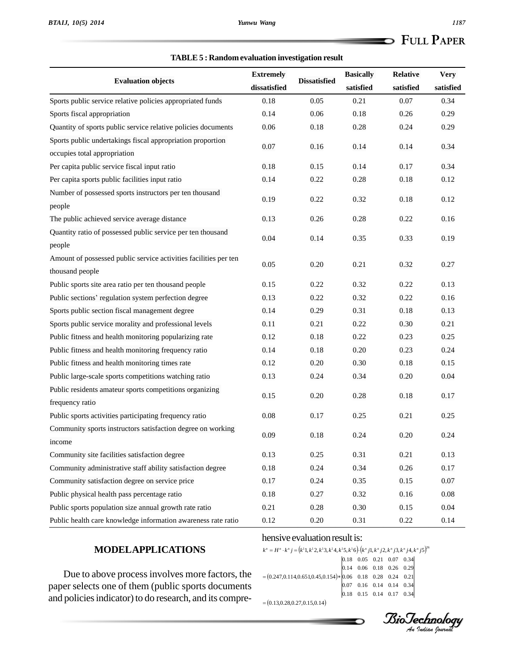#### **TABLE5 : Randomevaluation investigation result**

|                                                                  | <b>Extremely</b> |                     | <b>Basically</b> | <b>Relative</b> | <b>Very</b> |
|------------------------------------------------------------------|------------------|---------------------|------------------|-----------------|-------------|
| <b>Evaluation objects</b>                                        | dissatisfied     | <b>Dissatisfied</b> | satisfied        | satisfied       | satisfied   |
| Sports public service relative policies appropriated funds       | 0.18             | 0.05                | 0.21             | 0.07            | 0.34        |
| Sports fiscal appropriation                                      | 0.14             | 0.06                | 0.18             | 0.26            | 0.29        |
| Quantity of sports public service relative policies documents    | 0.06             | 0.18                | 0.28             | 0.24            | 0.29        |
| Sports public undertakings fiscal appropriation proportion       |                  |                     |                  |                 |             |
| occupies total appropriation                                     | 0.07             | 0.16                | 0.14             | 0.14            | 0.34        |
| Per capita public service fiscal input ratio                     | 0.18             | 0.15                | 0.14             | 0.17            | 0.34        |
| Per capita sports public facilities input ratio                  | 0.14             | 0.22                | 0.28             | 0.18            | 0.12        |
| Number of possessed sports instructors per ten thousand          | 0.19             | 0.22                | 0.32             | 0.18            | 0.12        |
| people                                                           |                  |                     |                  |                 |             |
| The public achieved service average distance                     | 0.13             | 0.26                | 0.28             | 0.22            | 0.16        |
| Quantity ratio of possessed public service per ten thousand      | 0.04             | 0.14                | 0.35             | 0.33            | 0.19        |
| people                                                           |                  |                     |                  |                 |             |
| Amount of possessed public service activities facilities per ten | 0.05             | 0.20                | 0.21             | 0.32            | 0.27        |
| thousand people                                                  |                  |                     |                  |                 |             |
| Public sports site area ratio per ten thousand people            | 0.15             | 0.22                | 0.32             | 0.22            | 0.13        |
| Public sections' regulation system perfection degree             | 0.13             | 0.22                | 0.32             | 0.22            | 0.16        |
| Sports public section fiscal management degree                   | 0.14             | 0.29                | 0.31             | 0.18            | 0.13        |
| Sports public service morality and professional levels           | 0.11             | 0.21                | 0.22             | 0.30            | 0.21        |
| Public fitness and health monitoring popularizing rate           | 0.12             | 0.18                | 0.22             | 0.23            | 0.25        |
| Public fitness and health monitoring frequency ratio             | 0.14             | 0.18                | 0.20             | 0.23            | 0.24        |
| Public fitness and health monitoring times rate                  | 0.12             | 0.20                | 0.30             | 0.18            | 0.15        |
| Public large-scale sports competitions watching ratio            | 0.13             | 0.24                | 0.34             | 0.20            | 0.04        |
| Public residents amateur sports competitions organizing          | 0.15             | 0.20                | 0.28             | 0.18            | 0.17        |
| frequency ratio                                                  |                  |                     |                  |                 |             |
| Public sports activities participating frequency ratio           | 0.08             | 0.17                | 0.25             | 0.21            | 0.25        |
| Community sports instructors satisfaction degree on working      | 0.09             | 0.18                | 0.24             | 0.20            | 0.24        |
| <i>n</i> come                                                    |                  |                     |                  |                 |             |
| Community site facilities satisfaction degree                    | 0.13             | 0.25                | 0.31             | 0.21            | 0.13        |
| Community administrative staff ability satisfaction degree       | 0.18             | 0.24                | 0.34             | 0.26            | 0.17        |
| Community satisfaction degree on service price                   | 0.17             | 0.24                | 0.35             | 0.15            | 0.07        |
| Public physical health pass percentage ratio                     | 0.18             | 0.27                | 0.32             | 0.16            | 0.08        |
| Public sports population size annual growth rate ratio           | 0.21             | 0.28                | 0.30             | 0.15            | 0.04        |
| Public health care knowledge information awareness rate ratio    | 0.12             | 0.20                | 0.31             | 0.22            | 0.14        |

### **MODELAPPLICATIONS**

#### hensive evaluation result is:

26 1 1 1 1 1 1 *<sup>k</sup> <sup>H</sup> <sup>k</sup> <sup>j</sup> <sup>k</sup> <sup>k</sup> <sup>k</sup> <sup>k</sup> <sup>k</sup> <sup>k</sup> kjk <sup>j</sup> <sup>k</sup> <sup>j</sup> <sup>k</sup> <sup>j</sup> <sup>k</sup> <sup>j</sup> <sup>n</sup> <sup>n</sup> <sup>n</sup> <sup>n</sup> <sup>n</sup> <sup>n</sup> <sup>n</sup> <sup>n</sup>*

Due to above processinvolves more factors, the paper selects one of them (public sports documents and policies indicator) to do research, and its compre-

*An*0.18 0.05 0.21 0.07 0.34  $H'' \cdot k'' j = (k^1 1, k^1 2, k^1 3, k^1 4, k^1 5, k^1 6) \cdot (k'' j1, k'' j2, k'' j3, k'' j4, k'' j5)^6$ <br>  $(0.18 \quad 0.05 \quad 0.21 \quad 0.07 \quad 0.34$ <br>  $(0.14 \quad 0.06 \quad 0.18 \quad 0.26 \quad 0.29)$ <br>  $(0.247, 0.114, 0.651, 0.45, 0.154) * (0.06 \quad 0.18 \quad 0.28 \quad 0.24 \quad 0.2$  $\begin{bmatrix} 0 & 0 & 0 \\ 0 & 0.13, 0.28, 0.27, 0.15, 0.14 \end{bmatrix}$ 0.18 0.15 0.14 0.17 0.34 0.07 0.16 0.14 0.14 0.34 0.14 0.06 0.18 0.26 0.29

*BioTechnology*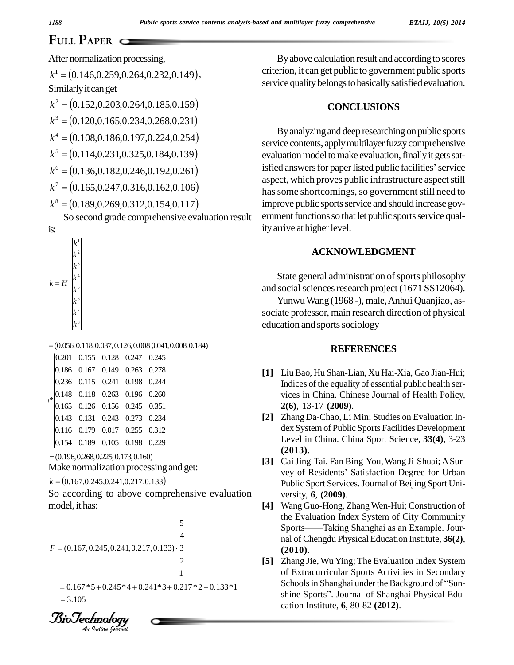After normalization processing,

After normalization processing,<br> $k^1 = (0.146, 0.259, 0.264, 0.232, 0.149),$ Similarly it can get  $\kappa$  = (0.146,0.259,0.264,0.252,0.149),<br>Similarly it can get<br> $k^2$  = (0.152,0.203,0.264,0.185,0.159)  $\overline{a}$  $k^2 = (0.152, 0.203, 0.264, 0.185, 0.159)$ <br> $k^3 = (0.120, 0.165, 0.234, 0.268, 0.231)$  $k^3 = (0.120, 0.1)$ <br> $k^4 = (0.108, 0.1)$  $0.120, 0.165, 0.234, 0.268, 0.231) \ 0.108, 0.186, 0.197, 0.224, 0.254)$  $k^4 = (0.108, 0.186, 0.197, 0.224, 0.254)$ <br>  $k^5 = (0.114, 0.231, 0.325, 0.184, 0.139)$  $k^5 = (0.114, 0.231, 0.325, 0.184, 0.139)$ <br> $k^6 = (0.136, 0.182, 0.246, 0.192, 0.261)$  $k^6 = (0.136, 0.182, 0.246, 0.192, 0.261)$  $k^6 = (0.136, 0.182, 0.246, 0.192, 0.261)$ <br> $k^7 = (0.165, 0.247, 0.316, 0.162, 0.106)$ 

$$
k^7 = (0.165, 0.247, 0.316, 0.162, 0.106)
$$
  

$$
k^8 = (0.189, 0.269, 0.312, 0.154, 0.117)
$$

So second grade comprehensive evaluation result



 $(0.056, 0.118, 0.037, 0.126, 0.008, 0.041, 0.008, 0.184)$ 

|        |  | $ 0.201 \quad 0.155 \quad 0.128 \quad 0.247 \quad 0.245 $                |  |
|--------|--|--------------------------------------------------------------------------|--|
|        |  | $ 0.186 \t0.167 \t0.149 \t0.263 \t0.278 $                                |  |
|        |  | $ 0.236 \quad 0.115 \quad 0.241 \quad 0.198 \quad 0.244 $                |  |
| $\ast$ |  | $\begin{array}{ ccc } 0.148 & 0.118 & 0.263 & 0.196 & 0.260 \end{array}$ |  |
|        |  | $\begin{array}{cccc} 0.165 & 0.126 & 0.156 & 0.245 & 0.351 \end{array}$  |  |
|        |  | $ 0.143 \t0.131 \t0.243 \t0.273 \t0.234 $                                |  |
|        |  | $ 0.116 \quad 0.179 \quad 0.017 \quad 0.255 \quad 0.312 $                |  |
|        |  | $ 0.154 \quad 0.189 \quad 0.105 \quad 0.198 \quad 0.229$                 |  |

 $=(0.196, 0.268, 0.225, 0.173, 0.160)$ 

Make normalization processing and get:<br> $k = (0.167, 0.245, 0.241, 0.217, 0.133)$ 

So according to above comprehensive evaluation model, it has:

$$
F = (0.167, 0.245, 0.241, 0.217, 0.133) \cdot \begin{bmatrix} 5 \\ 4 \\ 3 \\ 2 \\ 1 \end{bmatrix}
$$
  
= 0.167 \* 5 + 0.245 \* 4 + 0.241 \* 3 + 0.217 \* 2 + 0.133 \* 1  
= 3.105  
**BiO Ge h 2 h 2 h 2 i l 3 ii**

By above calculation result and according to scores criterion, it can get public to government public sports service quality belongs to basically satisfied evaluation.

### **CONCLUSIONS**

By analyzing and deep researching on public sports service contents, apply multilayer fuzzy comprehensive evaluation model to make evaluation, finally it gets satisfied answers for paper listed public facilities' service aspect, which proves public infrastructure aspect still has some shortcomings, so government still need to improve public sports service and should increase government functions so that let public sports service quality arrive at higher level.

### **ACKNOWLEDGMENT**

State general administration of sports philosophy and social sciences research project (1671 SS12064).

Yunwu Wang (1968 -), male, Anhui Quanjiao, associate professor, main research direction of physical education and sports sociology

#### **REFERENCES**

- **[1]** LiuBao, Hu Shan-Lian, Xu Hai-Xia, Gao Jian-Hui; Indices of the equality of essential public health ser vices in China. Chinese Journal of Health Policy, **2(6)**, 13-17 **(2009)**.
- **[2]** Zhang Da-Chao, Li Min; Studies on Evaluation In dex System of Public Sports Facilities Development Level in China. China Sport Science, **33(4)**, 3-23 **(2013)**.
- **[3]** CaiJing-Tai, Fan Bing-You,Wang Ji-Shuai; ASur vey of Residents' Satisfaction Degree for Urban Public Sport Services.Journal of Beijing Sport Uni versity, **6**, **(2009)**.
- [4] Wang Guo-Hong, Zhang Wen-Hui; Construction of the Evaluation Index System of City Community Sports——Taking Shanghai as an Example. Jourthe Evaluation Index System of City Community nal of Chengdu Physical Education Institute, **36(2)**, **(2010)**.
- **[5]** Zhang Jie, Wu Ying; The Evaluation Index System of Extracurricular Sports Activities in Secondary Zhang Jie, Wu Ying; The Evaluation Index System<br>of Extracurricular Sports Activities in Secondary<br>Schools in Shanghai under the Background of "Sun-Schools in Shanghai under the Background of "Sun-<br>shine Sports". Journal of Shanghai Physical Education Institute, **6**, 80-82 **(2012)**.